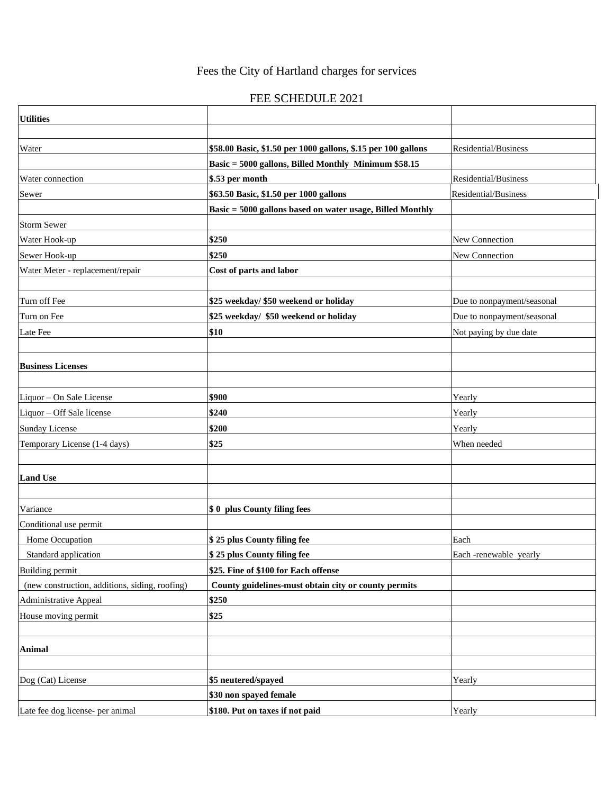## Fees the City of Hartland charges for services

## FEE SCHEDULE 2021

| <b>Utilities</b>                               |                                                               |                            |
|------------------------------------------------|---------------------------------------------------------------|----------------------------|
|                                                |                                                               |                            |
| Water                                          | \$58.00 Basic, \$1.50 per 1000 gallons, \$.15 per 100 gallons | Residential/Business       |
|                                                | Basic = 5000 gallons, Billed Monthly Minimum \$58.15          |                            |
| Water connection                               | \$.53 per month                                               | Residential/Business       |
| Sewer                                          | \$63.50 Basic, \$1.50 per 1000 gallons                        | Residential/Business       |
|                                                | Basic = 5000 gallons based on water usage, Billed Monthly     |                            |
| <b>Storm Sewer</b>                             |                                                               |                            |
| Water Hook-up                                  | \$250                                                         | New Connection             |
| Sewer Hook-up                                  | \$250                                                         | New Connection             |
| Water Meter - replacement/repair               | Cost of parts and labor                                       |                            |
|                                                |                                                               |                            |
| Turn off Fee                                   | \$25 weekday/ \$50 weekend or holiday                         | Due to nonpayment/seasonal |
| Turn on Fee                                    | \$25 weekday/ \$50 weekend or holiday                         | Due to nonpayment/seasonal |
| Late Fee                                       | \$10                                                          | Not paying by due date     |
|                                                |                                                               |                            |
| <b>Business Licenses</b>                       |                                                               |                            |
|                                                |                                                               |                            |
| Liquor - On Sale License                       | \$900                                                         | Yearly                     |
| Liquor - Off Sale license                      | \$240                                                         | Yearly                     |
| <b>Sunday License</b>                          | \$200                                                         | Yearly                     |
| Temporary License (1-4 days)                   | \$25                                                          | When needed                |
|                                                |                                                               |                            |
| <b>Land Use</b>                                |                                                               |                            |
|                                                |                                                               |                            |
| Variance                                       | \$0 plus County filing fees                                   |                            |
| Conditional use permit                         |                                                               |                            |
| Home Occupation                                | \$25 plus County filing fee                                   | Each                       |
| Standard application                           | \$25 plus County filing fee                                   | Each-renewable yearly      |
| <b>Building permit</b>                         | \$25. Fine of \$100 for Each offense                          |                            |
| (new construction, additions, siding, roofing) | County guidelines-must obtain city or county permits          |                            |
| <b>Administrative Appeal</b>                   | \$250                                                         |                            |
| House moving permit                            | \$25                                                          |                            |
|                                                |                                                               |                            |
| Animal                                         |                                                               |                            |
|                                                |                                                               |                            |
| Dog (Cat) License                              | \$5 neutered/spayed                                           | Yearly                     |
|                                                | \$30 non spayed female                                        |                            |
| Late fee dog license- per animal               | \$180. Put on taxes if not paid                               | Yearly                     |